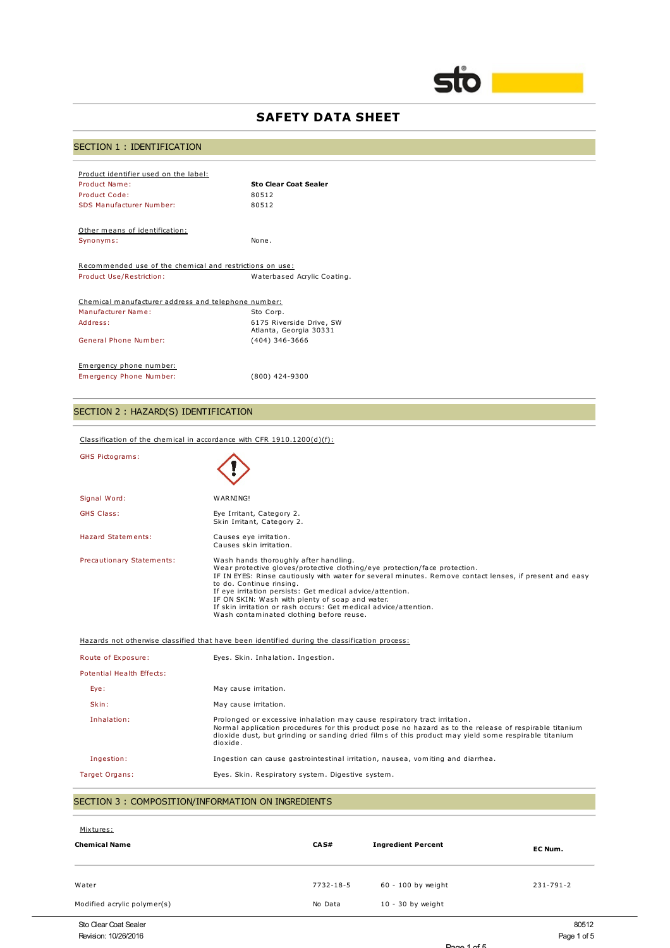

# **SAFETY DATA SHEET**

# SECTION 1 : IDENTIFICATION

| Product identifier used on the label:<br>Product Name:<br>Product Code:<br>SDS Manufacturer Number: | <b>Sto Clear Coat Sealer</b><br>80512<br>80512     |  |
|-----------------------------------------------------------------------------------------------------|----------------------------------------------------|--|
| Other means of identification:                                                                      |                                                    |  |
| Synonyms:                                                                                           | None.                                              |  |
| Recommended use of the chemical and restrictions on use:                                            |                                                    |  |
| Product Use/Restriction:                                                                            | Waterbased Acrylic Coating.                        |  |
| Chemical manufacturer address and telephone number:                                                 |                                                    |  |
| Manufacturer Name:                                                                                  | Sto Corp.                                          |  |
| Address:                                                                                            | 6175 Riverside Drive, SW<br>Atlanta, Georgia 30331 |  |
| General Phone Number:                                                                               | $(404)$ 346-3666                                   |  |
| Emergency phone number:<br>Emergency Phone Number:                                                  | $(800)$ 424-9300                                   |  |
|                                                                                                     |                                                    |  |

# SECTION 2 : HAZARD(S) IDENTIFICATION

| Classification of the chemical in accordance with CFR $1910.1200(d)(f)$ :                     |                                                                                                                                                                                                                                                                                                                                                                                                                                                                                            |  |
|-----------------------------------------------------------------------------------------------|--------------------------------------------------------------------------------------------------------------------------------------------------------------------------------------------------------------------------------------------------------------------------------------------------------------------------------------------------------------------------------------------------------------------------------------------------------------------------------------------|--|
| <b>GHS Pictograms:</b>                                                                        |                                                                                                                                                                                                                                                                                                                                                                                                                                                                                            |  |
| Signal Word:                                                                                  | WARNING!                                                                                                                                                                                                                                                                                                                                                                                                                                                                                   |  |
| <b>GHS Class:</b>                                                                             | Eye Irritant, Category 2.<br>Skin Irritant, Category 2.                                                                                                                                                                                                                                                                                                                                                                                                                                    |  |
| <b>Hazard Statements:</b>                                                                     | Causes eye irritation.<br>Causes skin irritation.                                                                                                                                                                                                                                                                                                                                                                                                                                          |  |
| Precautionary Statements:                                                                     | Wash hands thoroughly after handling.<br>Wear protective gloves/protective clothing/eye protection/face protection.<br>IF IN EYES: Rinse cautiously with water for several minutes. Remove contact lenses, if present and easy<br>to do. Continue rinsing.<br>If eye irritation persists: Get medical advice/attention.<br>IF ON SKIN: Wash with plenty of soap and water.<br>If skin irritation or rash occurs: Get medical advice/attention.<br>Wash contaminated clothing before reuse. |  |
| Hazards not otherwise classified that have been identified during the classification process: |                                                                                                                                                                                                                                                                                                                                                                                                                                                                                            |  |
| Route of Exposure:                                                                            | Eyes. Skin. Inhalation. Ingestion.                                                                                                                                                                                                                                                                                                                                                                                                                                                         |  |
| Potential Health Effects:                                                                     |                                                                                                                                                                                                                                                                                                                                                                                                                                                                                            |  |
| Eye:                                                                                          | May cause irritation.                                                                                                                                                                                                                                                                                                                                                                                                                                                                      |  |
| Skin:                                                                                         | May cause irritation.                                                                                                                                                                                                                                                                                                                                                                                                                                                                      |  |
| Inhalation:                                                                                   | Prolonged or excessive inhalation may cause respiratory tract irritation.<br>Normal application procedures for this product pose no hazard as to the release of respirable titanium<br>dioxide dust, but grinding or sanding dried films of this product may yield some respirable titanium<br>dioxide.                                                                                                                                                                                    |  |
| Ingestion:                                                                                    | Ingestion can cause gastrointestinal irritation, nausea, vomiting and diarrhea.                                                                                                                                                                                                                                                                                                                                                                                                            |  |
| Target Organs:                                                                                | Eyes. Skin. Respiratory system. Digestive system.                                                                                                                                                                                                                                                                                                                                                                                                                                          |  |
| SECTION 3 : COMPOSITION/INFORMATION ON INGREDIENTS                                            |                                                                                                                                                                                                                                                                                                                                                                                                                                                                                            |  |
|                                                                                               |                                                                                                                                                                                                                                                                                                                                                                                                                                                                                            |  |

| Mixtures:                   |           |                           |                 |
|-----------------------------|-----------|---------------------------|-----------------|
| <b>Chemical Name</b>        | CAS#      | <b>Ingredient Percent</b> | EC Num.         |
| Water                       | 7732-18-5 | 60 - 100 by weight        | $231 - 791 - 2$ |
| Modified acrylic polymer(s) | No Data   | $10 - 30$ by weight       |                 |
| Sto Clear Coat Sealer       |           |                           | 80512           |
| Revision: 10/26/2016        |           |                           | Page 1 of 5     |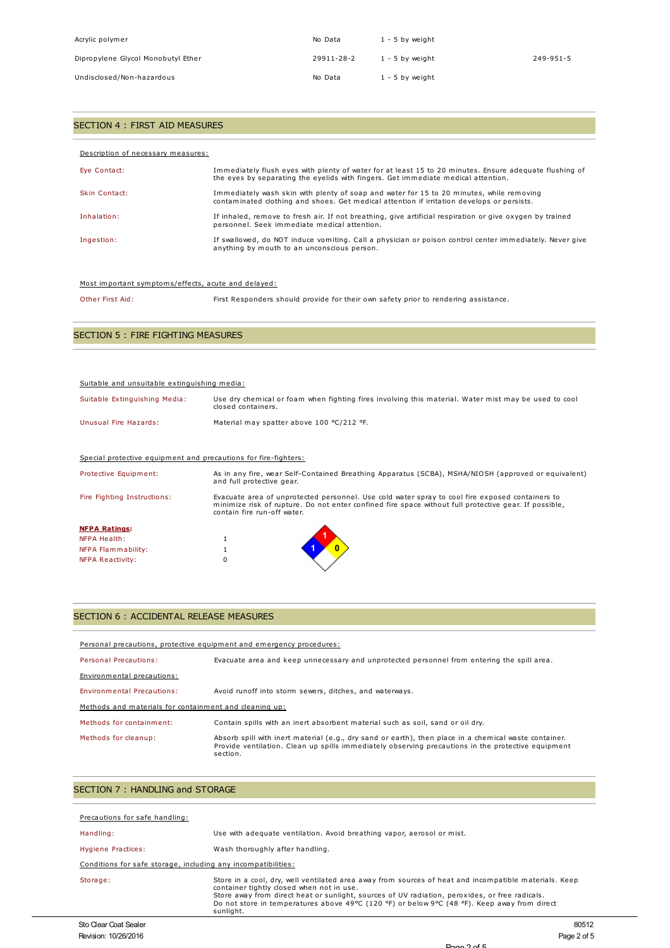| Acrylic polymer                    | No Data    | 1 - 5 by weight   |           |
|------------------------------------|------------|-------------------|-----------|
| Dipropylene Glycol Monobutyl Ether | 29911-28-2 | 1 - 5 by weight   | 249-951-5 |
| Undisclosed/Non-hazardous          | No Data    | $1 - 5$ by weight |           |

## SECTION 4 : FIRST AID MEASURES

| Description of necessary measures: |                                                                                                                                                                                             |
|------------------------------------|---------------------------------------------------------------------------------------------------------------------------------------------------------------------------------------------|
| Eye Contact:                       | Immediately flush eyes with plenty of water for at least 15 to 20 minutes. Ensure adequate flushing of<br>the eyes by separating the eyelids with fingers. Get immediate medical attention. |
| Skin Contact:                      | Immediately wash skin with plenty of soap and water for 15 to 20 minutes, while removing<br>contaminated clothing and shoes. Get medical attention if irritation develops or persists.      |
| Inhalation:                        | If inhaled, remove to fresh air. If not breathing, give artificial respiration or give oxygen by trained<br>personnel. Seek immediate medical attention.                                    |
| Ingestion:                         | If swallowed, do NOT induce vomiting. Call a physician or poison control center immediately. Never give<br>anything by mouth to an unconscious person.                                      |

#### Most important symptoms/effects, acute and delayed:

Other First Aid: First Responders should provide for their own safety prior to rendering assistance.

## SECTION 5 : FIRE FIGHTING MEASURES

| Suitable and unsuitable extinguishing media:                    |                                                                                                                                                                                                                                         |  |  |
|-----------------------------------------------------------------|-----------------------------------------------------------------------------------------------------------------------------------------------------------------------------------------------------------------------------------------|--|--|
| Suitable Extinguishing Media:                                   | Use dry chemical or foam when fighting fires involving this material. Water mist may be used to cool<br>closed containers.                                                                                                              |  |  |
| Unusual Fire Hazards:                                           | Material may spatter above 100 °C/212 °F.                                                                                                                                                                                               |  |  |
|                                                                 |                                                                                                                                                                                                                                         |  |  |
| Special protective equipment and precautions for fire-fighters: |                                                                                                                                                                                                                                         |  |  |
| Protective Equipment:                                           | As in any fire, wear Self-Contained Breathing Apparatus (SCBA), MSHA/NIOSH (approved or equivalent)<br>and full protective gear.                                                                                                        |  |  |
| Fire Fighting Instructions:                                     | Evacuate area of unprotected personnel. Use cold water spray to cool fire exposed containers to<br>minimize risk of rupture. Do not enter confined fire space without full protective gear. If possible,<br>contain fire run-off water. |  |  |
| <b>NFPA Ratings:</b>                                            |                                                                                                                                                                                                                                         |  |  |
| <b>NFPA Health:</b>                                             |                                                                                                                                                                                                                                         |  |  |
| NFPA Flammability:                                              |                                                                                                                                                                                                                                         |  |  |
| <b>NFPA Reactivity:</b>                                         |                                                                                                                                                                                                                                         |  |  |

### SECTION 6 : ACCIDENTAL RELEASE MEASURES

| Personal precautions, protective equipment and emergency procedures: |                                                                                                                                                                                                                         |  |  |
|----------------------------------------------------------------------|-------------------------------------------------------------------------------------------------------------------------------------------------------------------------------------------------------------------------|--|--|
| Personal Precautions:                                                | Evacuate area and keep unnecessary and unprotected personnel from entering the spill area.                                                                                                                              |  |  |
| Environmental precautions:                                           |                                                                                                                                                                                                                         |  |  |
| Environmental Precautions:                                           | Avoid runoff into storm sewers, ditches, and waterways.                                                                                                                                                                 |  |  |
| Methods and materials for containment and cleaning up:               |                                                                                                                                                                                                                         |  |  |
| Methods for containment:                                             | Contain spills with an inert absorbent material such as soil, sand or oil dry.                                                                                                                                          |  |  |
| Methods for cleanup:                                                 | Absorb spill with inert material (e.g., dry sand or earth), then place in a chemical waste container.<br>Provide ventilation. Clean up spills immediately observing precautions in the protective equipment<br>section. |  |  |

## SECTION 7 : HANDLING and STORAGE

| Precautions for safe handling:                                |                                                                                                                                                                                                                                                                                                                                                                   |  |
|---------------------------------------------------------------|-------------------------------------------------------------------------------------------------------------------------------------------------------------------------------------------------------------------------------------------------------------------------------------------------------------------------------------------------------------------|--|
| Handling:                                                     | Use with adequate ventilation. Avoid breathing vapor, aerosol or mist.                                                                                                                                                                                                                                                                                            |  |
| Hygiene Practices:                                            | Wash thoroughly after handling.                                                                                                                                                                                                                                                                                                                                   |  |
| Conditions for safe storage, including any incompatibilities: |                                                                                                                                                                                                                                                                                                                                                                   |  |
| Storage:                                                      | Store in a cool, dry, well ventilated area away from sources of heat and incompatible materials. Keep<br>container tightly closed when not in use.<br>Store away from direct heat or sunlight, sources of UV radiation, peroxides, or free radicals.<br>Do not store in temperatures above 49°C (120 °F) or below 9°C (48 °F). Keep away from direct<br>sunlight. |  |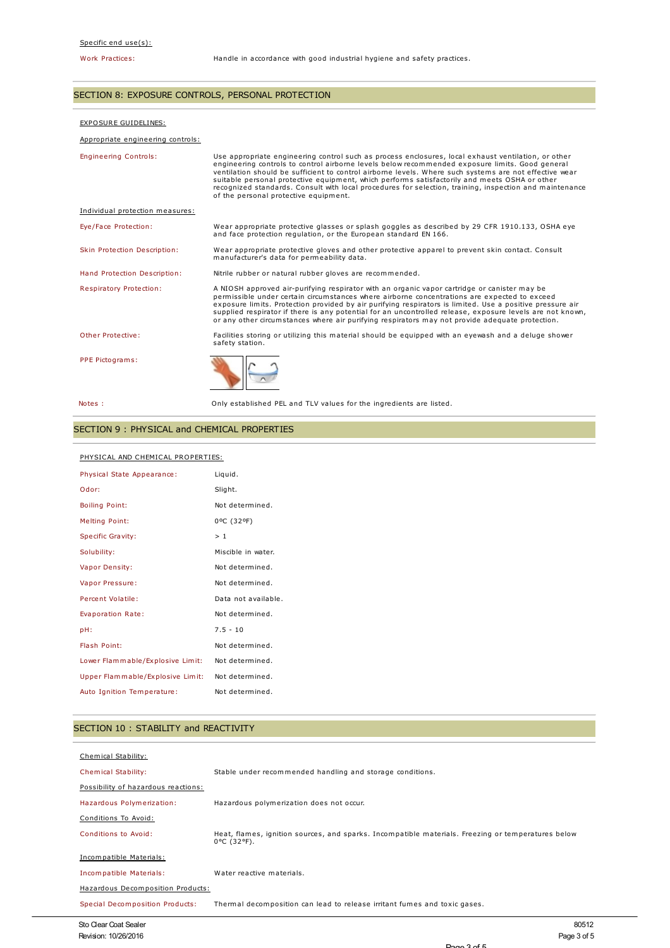### SECTION 8: EXPOSURE CONTROLS, PERSONAL PROTECTION

#### EXPOSURE GUIDELINES:

#### Appropriate engineering controls:

| <b>Engineering Controls:</b>    | Use appropriate engineering control such as process enclosures, local exhaust ventilation, or other<br>engineering controls to control airborne levels below recommended exposure limits. Good general<br>ventilation should be sufficient to control airborne levels. Where such systems are not effective wear<br>suitable personal protective equipment, which performs satisfactorily and meets OSHA or other<br>recognized standards. Consult with local procedures for selection, training, inspection and maintenance<br>of the personal protective equipment. |
|---------------------------------|-----------------------------------------------------------------------------------------------------------------------------------------------------------------------------------------------------------------------------------------------------------------------------------------------------------------------------------------------------------------------------------------------------------------------------------------------------------------------------------------------------------------------------------------------------------------------|
| Individual protection measures: |                                                                                                                                                                                                                                                                                                                                                                                                                                                                                                                                                                       |
| Eye/Face Protection:            | Wear appropriate protective glasses or splash goggles as described by 29 CFR 1910.133, OSHA eye<br>and face protection regulation, or the European standard EN 166.                                                                                                                                                                                                                                                                                                                                                                                                   |
| Skin Protection Description:    | Wear appropriate protective gloves and other protective apparel to prevent skin contact. Consult<br>manufacturer's data for permeability data.                                                                                                                                                                                                                                                                                                                                                                                                                        |
| Hand Protection Description:    | Nitrile rubber or natural rubber gloves are recommended.                                                                                                                                                                                                                                                                                                                                                                                                                                                                                                              |
| <b>Respiratory Protection:</b>  | A NIOSH approved air-purifying respirator with an organic vapor cartridge or canister may be<br>permissible under certain circumstances where airborne concentrations are expected to exceed<br>exposure limits. Protection provided by air purifying respirators is limited. Use a positive pressure air<br>supplied respirator if there is any potential for an uncontrolled release, exposure levels are not known,<br>or any other circumstances where air purifying respirators may not provide adequate protection.                                             |
| Other Protective:               | Facilities storing or utilizing this material should be equipped with an eyewash and a deluge shower<br>safety station.                                                                                                                                                                                                                                                                                                                                                                                                                                               |
| PPE Pictograms:                 |                                                                                                                                                                                                                                                                                                                                                                                                                                                                                                                                                                       |
| Notes :                         | Only established PEL and TLV values for the ingredients are listed.                                                                                                                                                                                                                                                                                                                                                                                                                                                                                                   |

## SECTION 9 : PHYSICAL and CHEMICAL PROPERTIES

#### PHYSICAL AND CHEMICAL PROPERTIES:

| Physical State Appearance:       | Liquid.             |
|----------------------------------|---------------------|
| Odor:                            | Slight.             |
| <b>Boiling Point:</b>            | Not determined.     |
| <b>Melting Point:</b>            | 0°C (32°F)          |
| Specific Gravity:                | >1                  |
| Solubility:                      | Miscible in water.  |
| Vapor Density:                   | Not determined.     |
| Vapor Pressure:                  | Not determined.     |
| Percent Volatile:                | Data not available. |
| Evaporation Rate:                | Not determined.     |
| pH:                              | $7.5 - 10$          |
| Flash Point:                     | Not determined.     |
| Lower Flammable/Explosive Limit: | Not determined.     |
| Upper Flammable/Explosive Limit: | Not determined.     |
| Auto Ignition Temperature:       | Not determined.     |

## SECTION 10 : STABILITY and REACTIVITY

| Chemical Stability:                 |                                                                                                                             |
|-------------------------------------|-----------------------------------------------------------------------------------------------------------------------------|
| Chemical Stability:                 | Stable under recommended handling and storage conditions.                                                                   |
| Possibility of hazardous reactions: |                                                                                                                             |
| Hazardous Polymerization:           | Hazardous polymerization does not occur.                                                                                    |
| Conditions To Avoid:                |                                                                                                                             |
| Conditions to Avoid:                | Heat, flames, ignition sources, and sparks. Incompatible materials. Freezing or temperatures below<br>$0^{\circ}$ C (32°F). |
| Incompatible Materials:             |                                                                                                                             |
| Incompatible Materials:             | Water reactive materials.                                                                                                   |
| Hazardous Decomposition Products:   |                                                                                                                             |
| Special Decomposition Products:     | Thermal decomposition can lead to release irritant fumes and toxic gases.                                                   |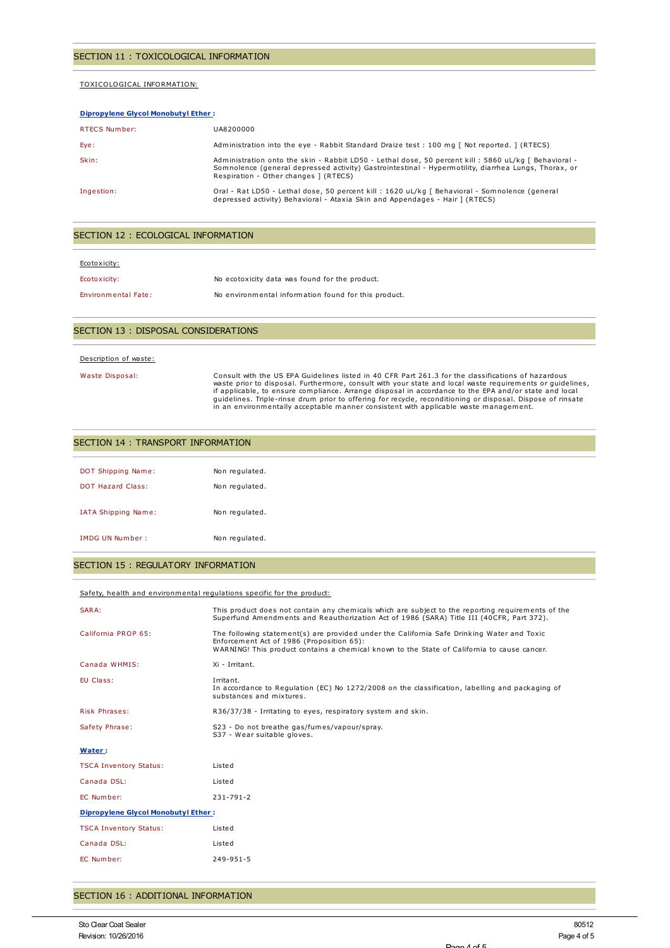#### TOXICOLOGICAL INFORMATION:

| <b>Dipropylene Glycol Monobutyl Ether:</b> |                                                                                                                                                                                                                                                        |  |
|--------------------------------------------|--------------------------------------------------------------------------------------------------------------------------------------------------------------------------------------------------------------------------------------------------------|--|
| RTECS Number:                              | UA8200000                                                                                                                                                                                                                                              |  |
| Eye:                                       | Administration into the eye - Rabbit Standard Draize test : 100 mg [ Not reported. ] (RTECS)                                                                                                                                                           |  |
| Skin:                                      | Administration onto the skin - Rabbit LD50 - Lethal dose, 50 percent kill : 5860 uL/kg [ Behavioral -<br>Somnolence (general depressed activity) Gastrointestinal - Hypermotility, diarrhea Lungs, Thorax, or<br>Respiration - Other changes ] (RTECS) |  |
| Ingestion:                                 | Oral - Rat LD50 - Lethal dose, 50 percent kill : 1620 uL/kg [ Behavioral - Somnolence (general<br>depressed activity) Behavioral - Ataxia Skin and Appendages - Hair ] (RTECS)                                                                         |  |

## SECTION 12 : ECOLOGICAL INFORMATION

| Ecotoxicity:               |                                                      |
|----------------------------|------------------------------------------------------|
| Ecotoxicity:               | No ecotoxicity data was found for the product.       |
| <b>Environmental Fate:</b> | No environmental information found for this product. |

#### SECTION 13 : DISPOSAL CONSIDERATIONS

#### Description of waste:

Waste Disposal:<br>Consult with the US EPA Guidelines listed in 40 CFR Part 261.3 for the classifications of hazardous<br>waste prior to disposal. Furthermore, consult with your state and local waste requirements or guidelines,<br>

| DOT Shipping Name:     | Non regulated. |
|------------------------|----------------|
| DOT Hazard Class:      | Non regulated. |
| IATA Shipping Name:    | Non regulated. |
| <b>IMDG UN Number:</b> | Non regulated. |

#### SECTION 15 : REGULATORY INFORMATION

#### Safety, health and environmental regulations specific for the product:

| SARA:                                      | This product does not contain any chemicals which are subject to the reporting requirements of the<br>Superfund Amendments and Reauthorization Act of 1986 (SARA) Title III (40CFR, Part 372).                                         |  |  |
|--------------------------------------------|----------------------------------------------------------------------------------------------------------------------------------------------------------------------------------------------------------------------------------------|--|--|
| California PROP 65:                        | The following statement(s) are provided under the California Safe Drinking Water and Toxic<br>Enforcement Act of 1986 (Proposition 65):<br>WARNING! This product contains a chemical known to the State of California to cause cancer. |  |  |
| Canada WHMIS:                              | Xi - Irritant.                                                                                                                                                                                                                         |  |  |
| EU Class:                                  | Irritant.<br>In accordance to Regulation (EC) No 1272/2008 on the classification, labelling and packaging of<br>substances and mixtures.                                                                                               |  |  |
| Risk Phrases:                              | R36/37/38 - Irritating to eyes, respiratory system and skin.                                                                                                                                                                           |  |  |
| Safety Phrase:                             | S23 - Do not breathe gas/fumes/vapour/spray.<br>S37 - Wear suitable gloves.                                                                                                                                                            |  |  |
| Water:                                     |                                                                                                                                                                                                                                        |  |  |
| <b>TSCA Inventory Status:</b>              | Listed                                                                                                                                                                                                                                 |  |  |
| Canada DSL:                                | Listed                                                                                                                                                                                                                                 |  |  |
| EC Number:                                 | 231-791-2                                                                                                                                                                                                                              |  |  |
| <b>Dipropylene Glycol Monobutyl Ether:</b> |                                                                                                                                                                                                                                        |  |  |
| <b>TSCA Inventory Status:</b>              | Listed                                                                                                                                                                                                                                 |  |  |
| Canada DSL:                                | Listed                                                                                                                                                                                                                                 |  |  |
| EC Number:                                 | $249 - 951 - 5$                                                                                                                                                                                                                        |  |  |

### SECTION 16 : ADDITIONAL INFORMATION